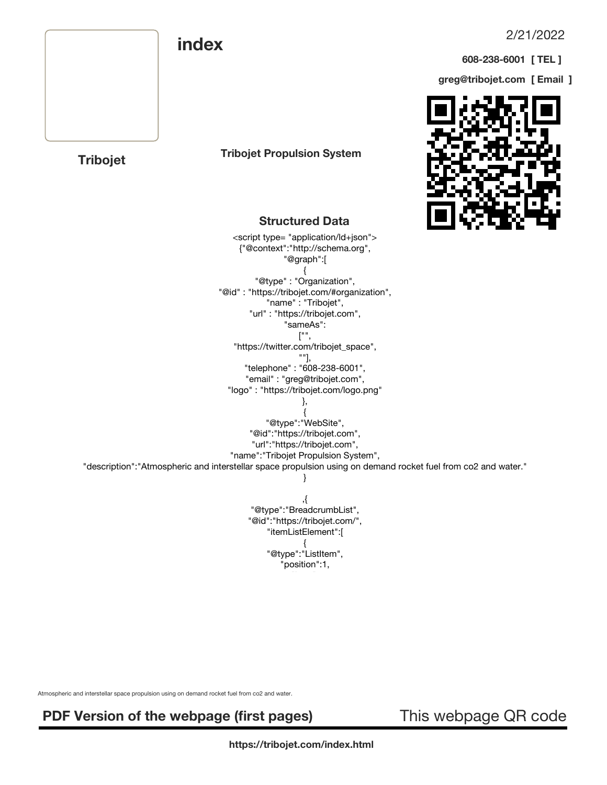2/21/2022

**608-238-6001 [ TEL ]**

**greg@tribojet.com [ Email ]**



**Tribojet Propulsion System**

**index**

# **Tribojet**

#### **Structured Data**

<script type= "application/ld+json"> {"@context":"http://schema.org", "@graph":[ { "@type" : "Organization", "@id" : "https://tribojet.com/#organization", "name" : "Tribojet", "url" : "https://tribojet.com", "sameAs": ["", "https://twitter.com/tribojet\_space", ""], "telephone" : "608-238-6001", "email" : "greg@tribojet.com", "logo" : "https://tribojet.com/logo.png" }, { "@type":"WebSite", "@id":"https://tribojet.com", "url":"https://tribojet.com", "name":"Tribojet Propulsion System", "description":"Atmospheric and interstellar space propulsion using on demand rocket fuel from co2 and water." } ,{ "@type":"BreadcrumbList", "@id":"https://tribojet.com/", "itemListElement":[ {

"@type":"ListItem", "position":1, "item":

Atmospheric and interstellar space propulsion using on demand rocket fuel from co2 and water.

**PDF Version of the webpage (first pages)** This webpage QR code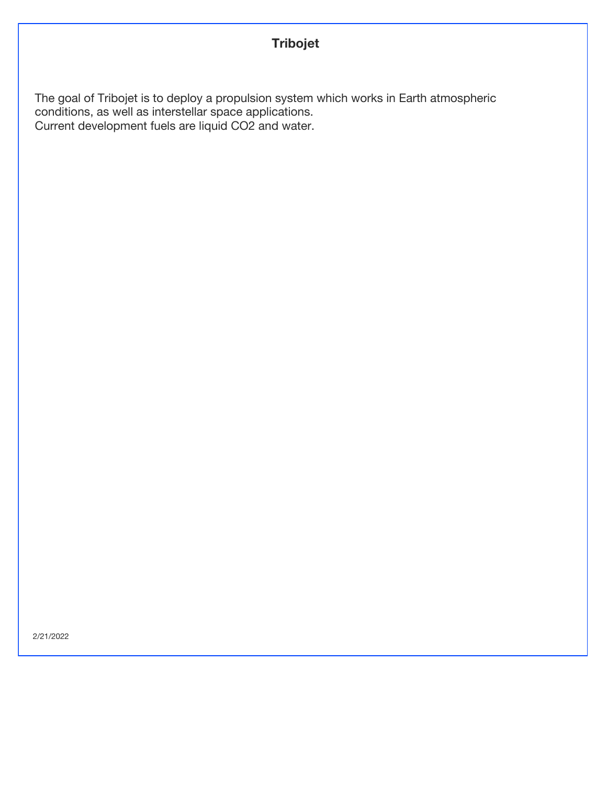## **Tribojet**

The goal of Tribojet is to deploy a propulsion system which works in Earth atmospheric conditions, as well as interstellar space applications. Current development fuels are liquid CO2 and water.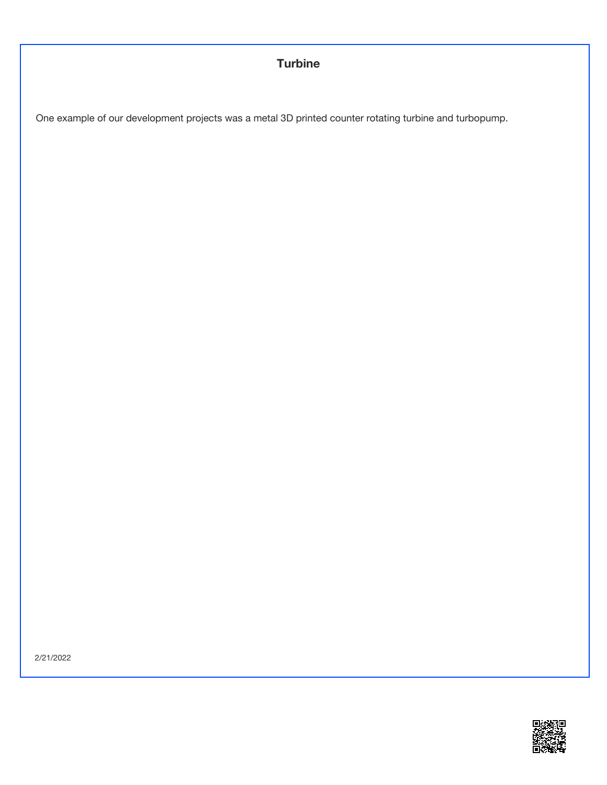## **Turbine**

One example of our development projects was a metal 3D printed counter rotating turbine and turbopump.

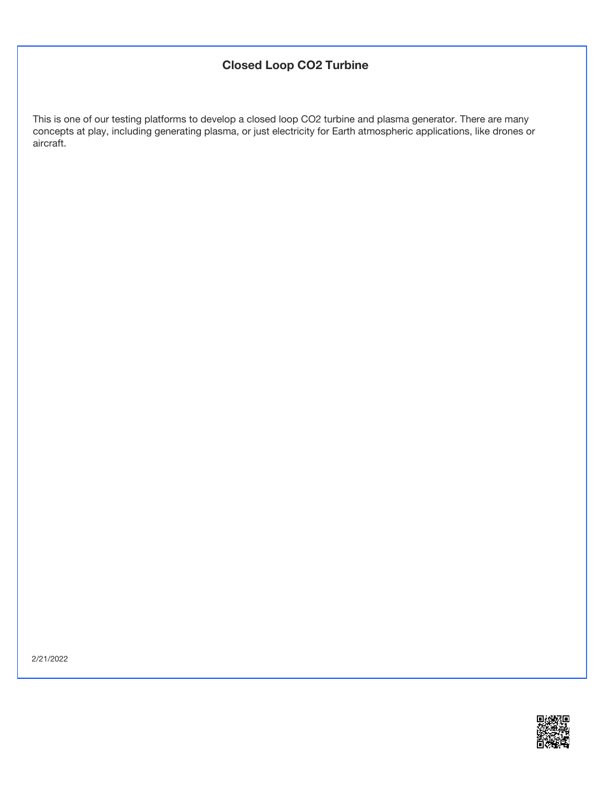### **Closed Loop CO2 Turbine**

This is one of our testing platforms to develop a closed loop CO2 turbine and plasma generator. There are many concepts at play, including generating plasma, or just electricity for Earth atmospheric applications, like drones or aircraft.

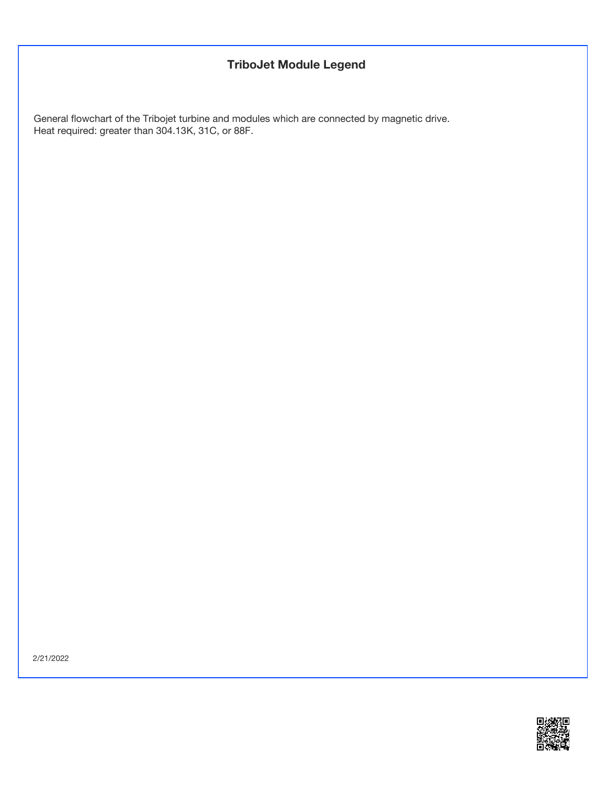#### **TriboJet Module Legend**

General flowchart of the Tribojet turbine and modules which are connected by magnetic drive. Heat required: greater than 304.13K, 31C, or 88F.

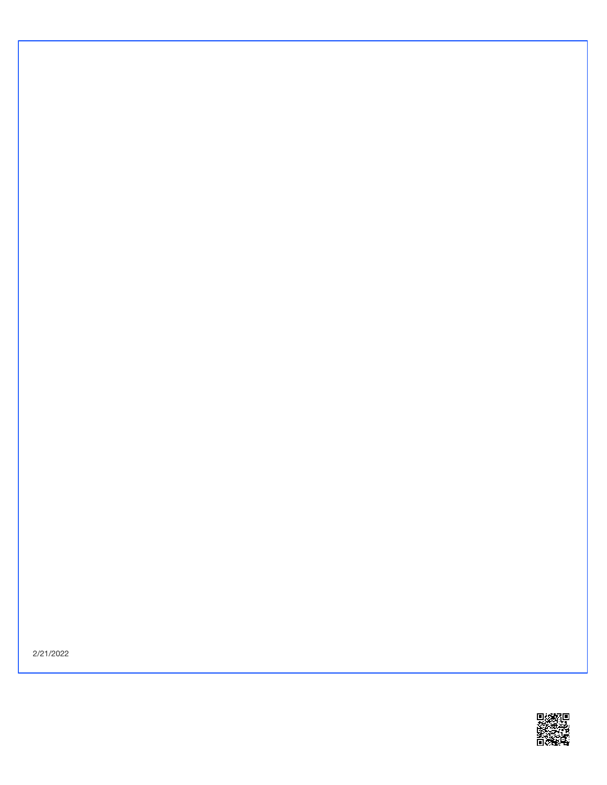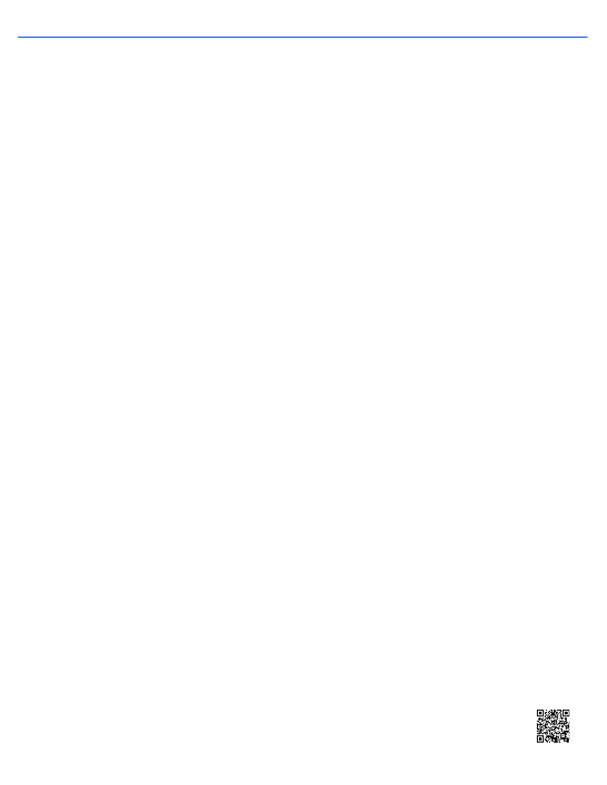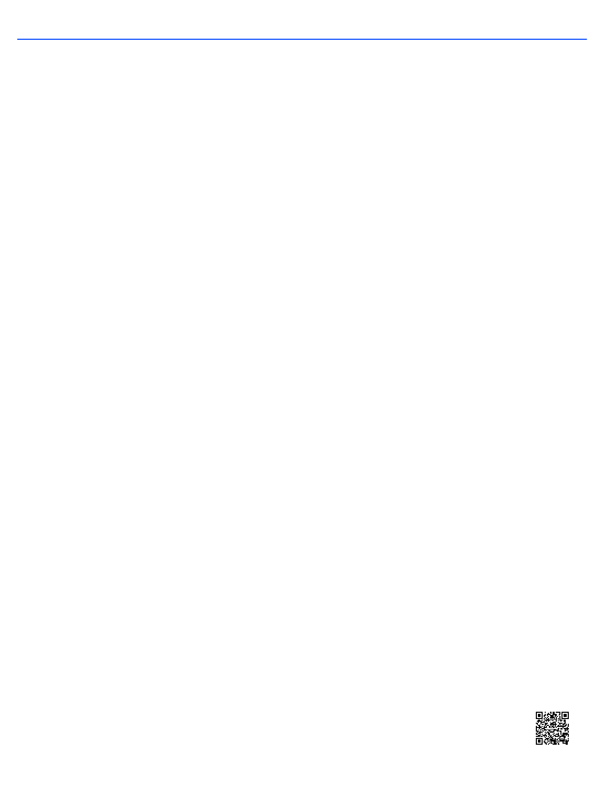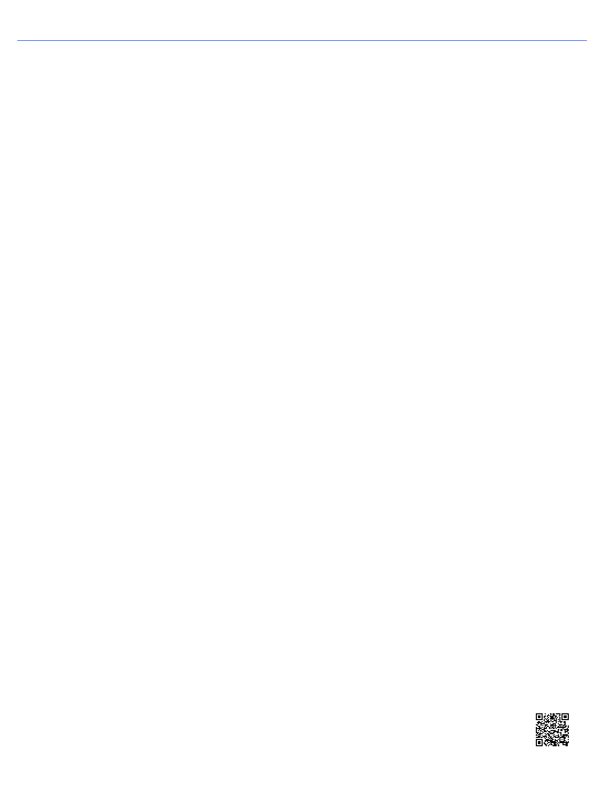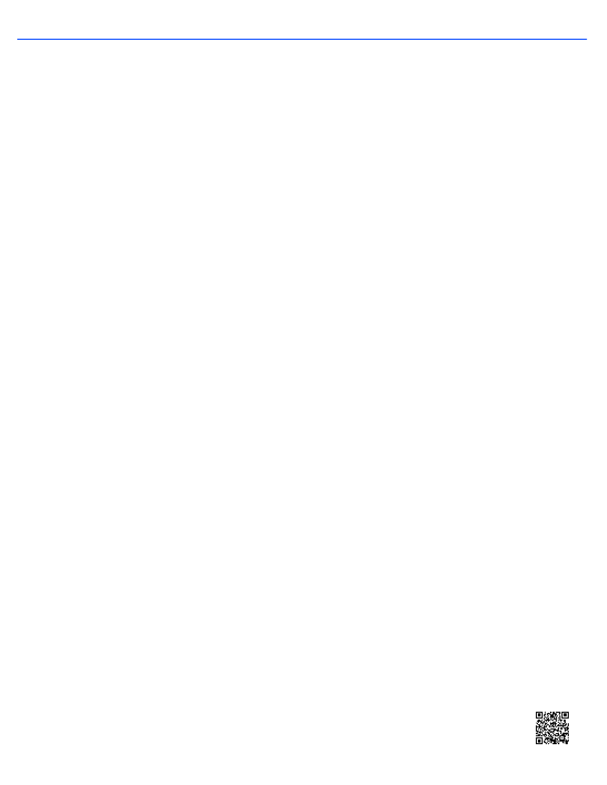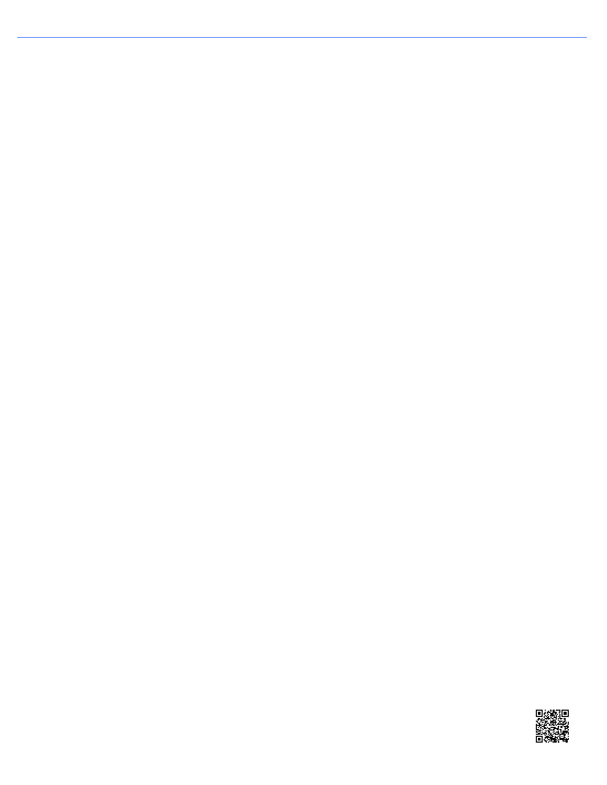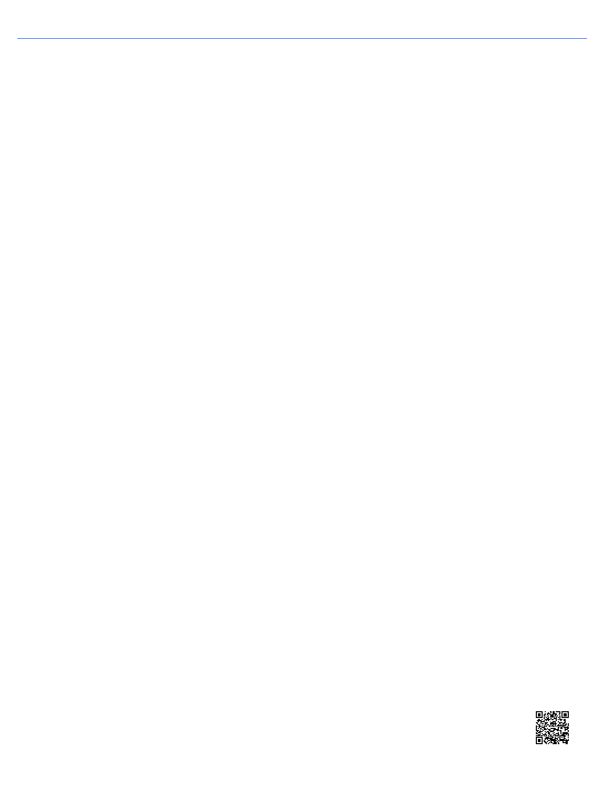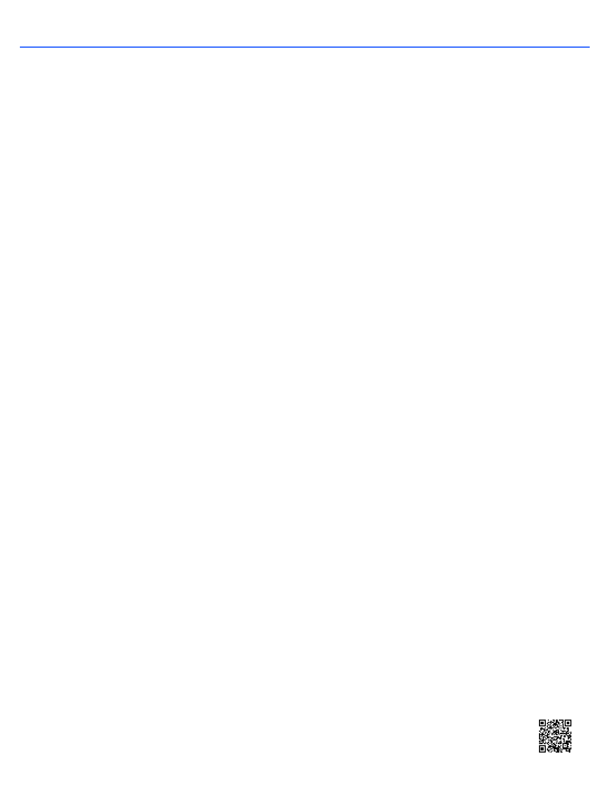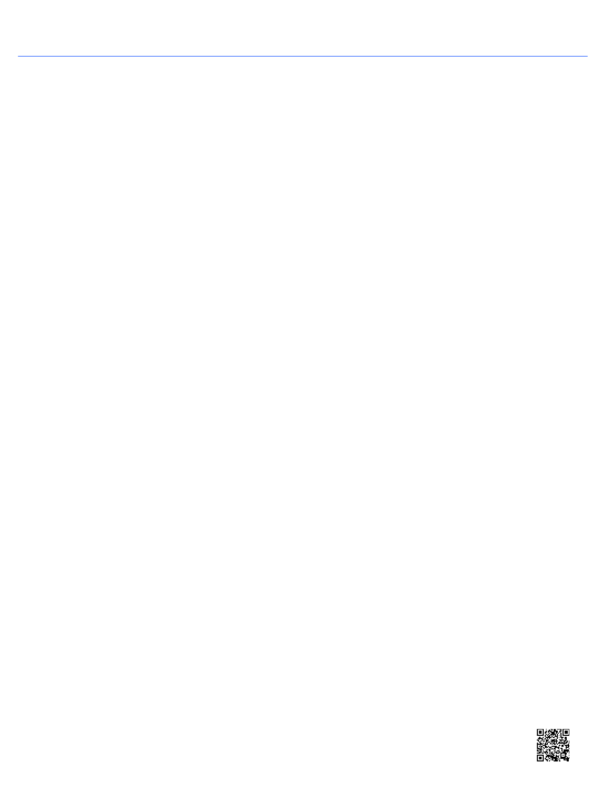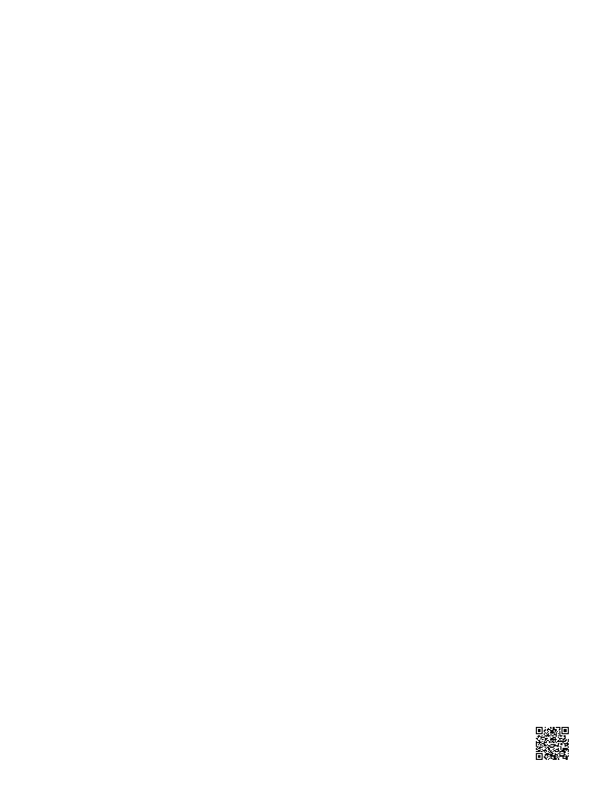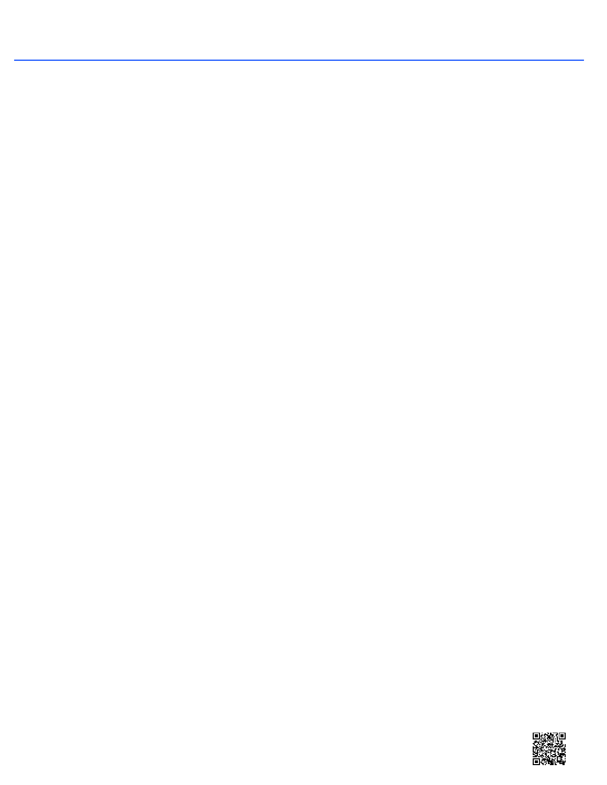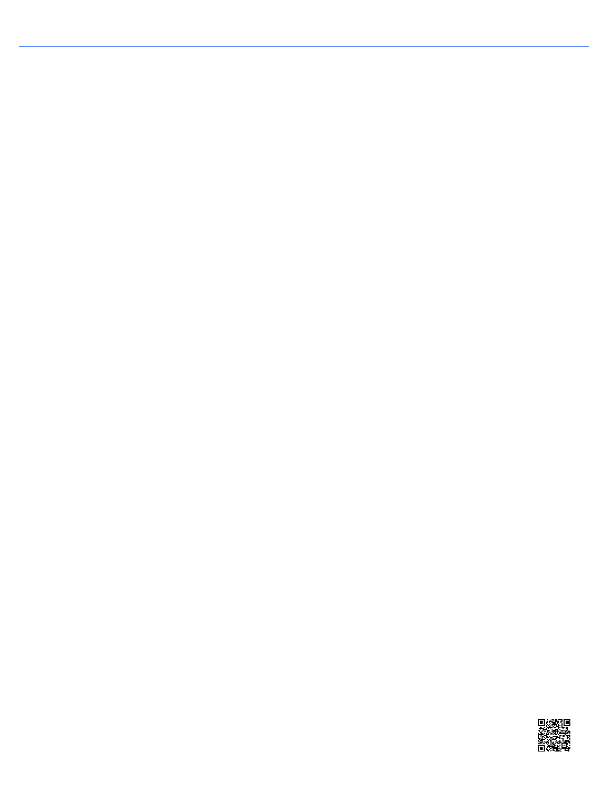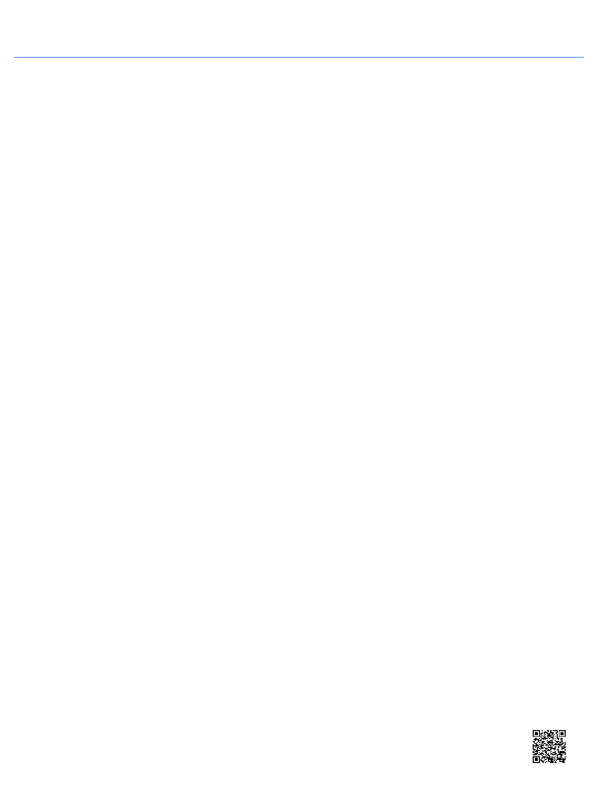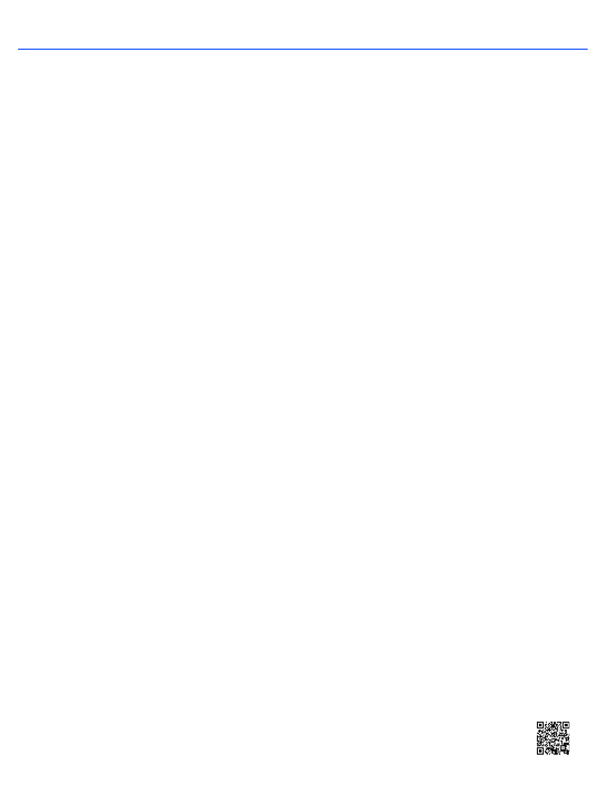